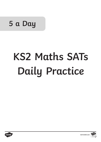# **5 a Day**

**KS2 Maths SATs Daily Practice**

# **KS2 Maths SATs Daily Practice**



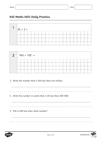

| 2 <sup>2</sup> |  | $965 + 100 =$ |  |  |  |  |  |  |  |  |  |
|----------------|--|---------------|--|--|--|--|--|--|--|--|--|
|                |  |               |  |  |  |  |  |  |  |  |  |
|                |  |               |  |  |  |  |  |  |  |  |  |
|                |  |               |  |  |  |  |  |  |  |  |  |
|                |  |               |  |  |  |  |  |  |  |  |  |

3. Write the number that is 100 less than one million.

 $\mathbf{a} = \mathbf{a} + \mathbf{a} + \mathbf{a}$ 

 $\mathbf{a} \cdot \mathbf{a} \cdot \mathbf{a} \cdot \mathbf{a} \cdot \mathbf{a} \cdot \mathbf{a}$ 

4. Write the number in words that is 30 less than 300 000.

5. 678 is 200 less than what number?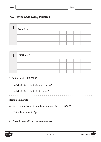

| $2   368 + 70 =$ |  |  |  |  |  |  |  |  |  |  |  |
|------------------|--|--|--|--|--|--|--|--|--|--|--|
|                  |  |  |  |  |  |  |  |  |  |  |  |
|                  |  |  |  |  |  |  |  |  |  |  |  |
|                  |  |  |  |  |  |  |  |  |  |  |  |
|                  |  |  |  |  |  |  |  |  |  |  |  |

- 3. In the number 217 361.05
	- a) Which digit is in the hundreds place?
	- b) Which digit is in the tenths place?

#### **Roman Numerals**

4. Here is a number written in Roman numerals. DCCIX

Write the number in figures.

5. Write the year 2017 in Roman numerals.



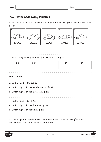1. Put these cars in order of price, starting with the lowest price. One has been done for you.



2. Order the following numbers from smallest to largest.

| 44<br>. | ∩1 | $\overline{\phantom{a}}$<br>$\mathsf v\cdot\mathsf l$ | $\bigcap$ 11 |
|---------|----|-------------------------------------------------------|--------------|
|         |    |                                                       |              |

#### **Place Value**

| 3. In the number 178 390.82                                                    |
|--------------------------------------------------------------------------------|
| a) Which digit is in the ten thousands place? ________                         |
|                                                                                |
| 4. In the number 837 609.51                                                    |
|                                                                                |
|                                                                                |
|                                                                                |
| E. The temperate outside is -00C and inside is 150C. What is the difference in |

5. The temperate outside is -4ºC and inside is 15ºC. What is the difference in temperature between the outside and inside?

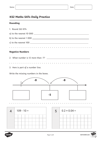#### **Rounding**



3. Here is part of a number line.

Write the missing numbers in the boxes.



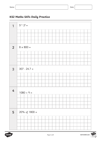



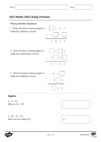#### **Missing Number Questions**

1. Write the three missing digits to make this addition correct.



2. Write the four missing digits to make this subtraction correct.





4 6

0 5





4.  $n = 24$ What is 3n - 15?

5.  $28 - 3t = 10$ Work out the value of t.

 $t =$